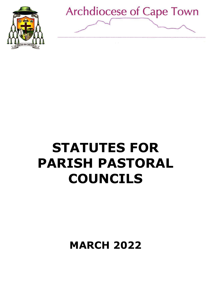



# **STATUTES FOR PARISH PASTORAL COUNCILS**

**MARCH 2022**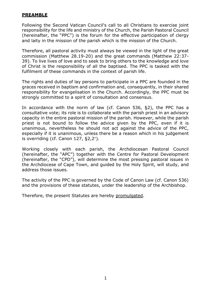## **PREAMBLE**

Following the Second Vatican Council's call to all Christians to exercise joint responsibility for the life and ministry of the Church, the Parish Pastoral Council (hereinafter, the "PPC") is the forum for the effective participation of clergy and laity in the mission of the parish which is the mission of the Church.

Therefore, all pastoral activity must always be viewed in the light of the great commission (Matthew 28.19-20) and the great commands (Matthew 22:37- 39). To live lives of love and to seek to bring others to the knowledge and love of Christ is the responsibility of all the baptised. The PPC is tasked with the fulfilment of these commands in the context of parish life.

The rights and duties of lay persons to participate in a PPC are founded in the graces received in baptism and confirmation and, consequently, in their shared responsibility for evangelisation in the Church. Accordingly, the PPC must be strongly committed to a spirit of consultation and consensus.

In accordance with the norm of law (cf. Canon 536, §2), the PPC has a consultative vote; its role is to collaborate with the parish priest in an advisory capacity in the entire pastoral mission of the parish. However, while the parish priest is not bound to follow the advice given by the PPC, even if it is unanimous, nevertheless he should not act against the advice of the PPC, especially if it is unanimous, unless there be a reason which in his judgement is overriding (cf. Canon 127, §2,2°).

Working closely with each parish, the Archdiocesan Pastoral Council (hereinafter, the "APC") together with the Centre for Pastoral Development (hereinafter, the "CPD"), will determine the most pressing pastoral issues in the Archdiocese of Cape Town, and guided by the Holy Spirit, will study, and address those issues.

The activity of the PPC is governed by the Code of Canon Law (cf. Canon 536) and the provisions of these statutes, under the leadership of the Archbishop.

Therefore, the present Statutes are hereby promulgated.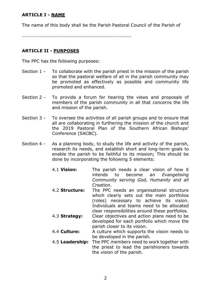## **ARTICLE I - NAME**

The name of this body shall be the Parish Pastoral Council of the Parish of

………………………………………………………………………………….

# **ARTICLE II - PURPOSES**

The PPC has the following purposes:

- Section 1 To collaborate with the parish priest in the mission of the parish so that the pastoral welfare of all in the parish community may be promoted as effectively as possible and community life promoted and enhanced.
- Section 2 To provide a forum for hearing the views and proposals of members of the parish community in all that concerns the life and mission of the parish.
- Section 3 To oversee the activities of all parish groups and to ensure that all are collaborating in furthering the mission of the church and the 2019 Pastoral Plan of the Southern African Bishops' Conference (SACBC).
- Section 4 As a planning body, to study the life and activity of the parish, research its needs, and establish short and long-term goals to enable the parish to be faithful to its mission; This should be done by incorporating the following 5 elements:
	- 4.1 **Vision:** The parish needs a clear vision of how it intends to become an *Evangelising Community serving God, Humanity and all Creation*.
	- 4.2 **Structure:** The PPC needs an organisational structure which clearly sets out the main portfolios (roles) necessary to achieve its vision. Individuals and teams need to be allocated clear responsibilities around these portfolios.
	- 4.3 **Strategy:** Clear objectives and action plans need to be developed for each portfolio which move the parish closer to its vision.
	- 4.4 **Culture:** A culture which supports the vision needs to be developed in the parish.
	- 4.5 **Leadership:** The PPC members need to work together with the priest to lead the parishioners towards the vision of the parish.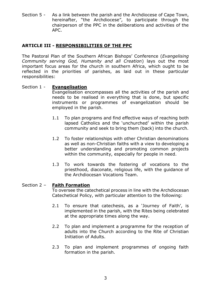Section 5 - As a link between the parish and the Archdiocese of Cape Town, hereinafter, "the Archdiocese", to participate through the chairperson of the PPC in the deliberations and activities of the APC.

## **ARTICLE III - RESPONSIBILITIES OF THE PPC**

The Pastoral Plan of the Southern African Bishops' Conference (*Evangelising Community serving God, Humanity and all Creation*) lays out the most important focus areas for the church in southern Africa, which ought to be reflected in the priorities of parishes, as laid out in these particular responsibilities:

#### Section 1 - **Evangelisation**

Evangelisation encompasses all the activities of the parish and needs to be realised in everything that is done, but specific instruments or programmes of evangelization should be employed in the parish.

- 1.1 To plan programs and find effective ways of reaching both lapsed Catholics and the 'unchurched' within the parish community and seek to bring them (back) into the church.
- 1.2 To foster relationships with other Christian denominations as well as non-Christian faiths with a view to developing a better understanding and promoting common projects within the community, especially for people in need.
- 1.3 To work towards the fostering of vocations to the priesthood, diaconate, religious life, with the guidance of the Archdiocesan Vocations Team.

#### Section 2 – **Faith Formation**

To oversee the catechetical process in line with the Archdiocesan Catechetical Policy, with particular attention to the following:

- 2.1 To ensure that catechesis, as a 'Journey of Faith', is implemented in the parish, with the Rites being celebrated at the appropriate times along the way.
- 2.2 To plan and implement a programme for the reception of adults into the Church according to the Rite of Christian Initiation of Adults.
- 2.3 To plan and implement programmes of ongoing faith formation in the parish.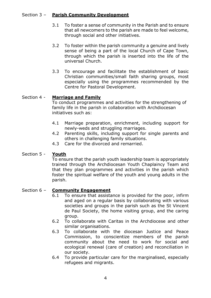#### Section 3 – **Parish Community Development**

- 3.1 To foster a sense of community in the Parish and to ensure that all newcomers to the parish are made to feel welcome, through social and other initiatives.
- 3.2 To foster within the parish community a genuine and lively sense of being a part of the local Church of Cape Town, through which the parish is inserted into the life of the universal Church.
- 3.3 To encourage and facilitate the establishment of basic Christian communities/small faith sharing groups, most especially using the programmes recommended by the Centre for Pastoral Development.

#### Section 4 - **Marriage and Family**

To conduct programmes and activities for the strengthening of family life in the parish in collaboration with Archdiocesan initiatives such as:

- 4.1 Marriage preparation, enrichment, including support for newly-weds and struggling marriages.
- 4.2 Parenting skills, including support for single parents and others in challenging family situations.
- 4.3 Care for the divorced and remarried.

#### Section 5 - **Youth**

To ensure that the parish youth leadership team is appropriately trained through the Archdiocesan Youth Chaplaincy Team and that they plan programmes and activities in the parish which foster the spiritual welfare of the youth and young adults in the parish.

#### Section 6 – **Community Engagement**

- 6.1 To ensure that assistance is provided for the poor, infirm and aged on a regular basis by collaborating with various societies and groups in the parish such as the St Vincent de Paul Society, the home visiting group, and the caring group.
- 6.2 To collaborate with Caritas in the Archdiocese and other similar organisations.
- 6.3 To collaborate with the diocesan Justice and Peace Commission, to conscientize members of the parish community about the need to work for social and ecological renewal (care of creation) and reconciliation in our society.
- 6.4 To provide particular care for the marginalised, especially refugees and migrants.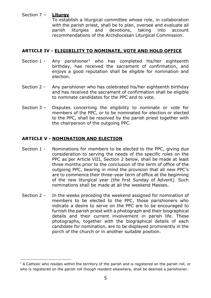#### Section 7 – **Liturgy**

To establish a liturgical committee whose role, in collaboration with the parish priest, shall be to plan, oversee and evaluate all parish liturgies and devotions, taking into account recommendations of the Archdiocesan Liturgical Commission.

## **ARTICLE IV - ELIGIBILITY TO NOMINATE, VOTE AND HOLD OFFICE**

- Section 1 Any parishioner<sup>1</sup> who has completed his/her eighteenth birthday, has received the sacrament of confirmation, and enjoys a good reputation shall be eligible for nomination and election.
- Section 2 Any parishioner who has celebrated his/her eighteenth birthday and has received the sacrament of confirmation shall be eligible to nominate candidates for the PPC and to vote.
- Section 3 Disputes concerning the eligibility to nominate or vote for members of the PPC, or to be nominated for election or elected to the PPC, shall be resolved by the parish priest together with the chairperson of the outgoing PPC.

## **ARTICLE V - NOMINATION AND ELECTION**

- Section 1 Nominations for members to be elected to the PPC, giving due consideration to serving the needs of the specific roles on the PPC as per Article VIII, Section 2 below, shall be made at least three months prior to the conclusion of the term of office of the outgoing PPC, bearing in mind the provision that all new PPC's are to commence their three-year term of office at the beginning of the new liturgical year (the first Sunday of Advent). Such nominations shall be made at all the weekend Masses.
- Section 2 In the weeks preceding the weekend assigned for nomination of members to be elected to the PPC, those parishioners who indicate a desire to serve on the PPC are to be encouraged to furnish the parish priest with a photograph and their biographical details and their current involvement in parish life. These photographs, together with the biographical details of each candidate for nomination, are to be displayed prominently in the porch of the church or in another suitable position.

 $1$  A Catholic who resides within the territory of the parish and is registered on the parish roll, or who is registered on the parish roll though resident elsewhere, shall be deemed a parishioner.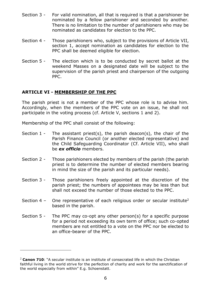- Section 3 For valid nomination, all that is required is that a parishioner be nominated by a fellow parishioner and seconded by another. There is no limitation to the number of parishioners who may be nominated as candidates for election to the PPC.
- Section 4 Those parishioners who, subject to the provisions of Article VII, section 1, accept nomination as candidates for election to the PPC shall be deemed eligible for election.
- Section 5 The election which is to be conducted by secret ballot at the weekend Masses on a designated date will be subject to the supervision of the parish priest and chairperson of the outgoing PPC.

## **ARTICLE VI - MEMBERSHIP OF THE PPC**

The parish priest is not a member of the PPC whose role is to advise him. Accordingly, when the members of the PPC vote on an issue, he shall not participate in the voting process (cf. Article V, sections 1 and 2).

Membership of the PPC shall consist of the following:

- Section 1 The assistant priest(s), the parish deacon(s), the chair of the Parish Finance Council (or another elected representative) and the Child Safeguarding Coordinator (Cf. Article VII), who shall be *ex officio* members.
- Section 2 Those parishioners elected by members of the parish (the parish priest is to determine the number of elected members bearing in mind the size of the parish and its particular needs).
- Section 3 Those parishioners freely appointed at the discretion of the parish priest; the numbers of appointees may be less than but shall not exceed the number of those elected to the PPC.
- Section 4 One representative of each religious order or secular institute<sup>2</sup> based in the parish.
- Section 5 The PPC may co-opt any other person(s) for a specific purpose for a period not exceeding its own term of office; such co-opted members are not entitled to a vote on the PPC nor be elected to an office-bearer of the PPC.

<sup>2</sup> **Canon 710**: "A secular institute is an institute of consecrated life in which the Christian faithful living in the world strive for the perfection of charity and work for the sanctification of the world especially from within" E.g. Schoenstatt.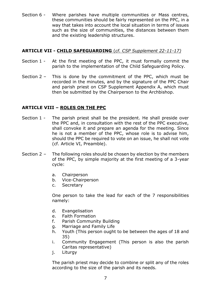Section 6 - Where parishes have multiple communities or Mass centres, these communities should be fairly represented on the PPC, in a way that takes into account the local situation in terms of issues such as the size of communities, the distances between them and the existing leadership structures.

#### **ARTICLE VII - CHILD SAFEGUARDING** (*cf. CSP Supplement 22-11-17)*

- Section 1 At the first meeting of the PPC, it must formally commit the parish to the implementation of the Child Safeguarding Policy.
- Section 2 This is done by the commitment of the PPC, which must be recorded in the minutes, and by the signature of the PPC Chair and parish priest on CSP Supplement Appendix A, which must then be submitted by the Chairperson to the Archbishop.

#### **ARTICLE VIII – ROLES ON THE PPC**

- Section 1 The parish priest shall be the president. He shall preside over the PPC and, in consultation with the rest of the PPC executive, shall convoke it and prepare an agenda for the meeting. Since he is not a member of the PPC, whose role is to advise him, should the PPC be required to vote on an issue, he shall not vote (cf. Article VI, Preamble).
- Section 2 The following roles should be chosen by election by the members of the PPC, by simple majority at the first meeting of a 3-year cycle:
	- a. Chairperson
	- b. Vice-Chairperson
	- c. Secretary

One person to take the lead for each of the 7 responsibilities namely:

- d. Evangelisation
- e. Faith Formation
- f. Parish Community Building
- g. Marriage and Family Life
- h. Youth (This person ought to be between the ages of 18 and 35)
- i. Community Engagement (This person is also the parish Caritas representative)
- j. Liturgy

The parish priest may decide to combine or split any of the roles according to the size of the parish and its needs.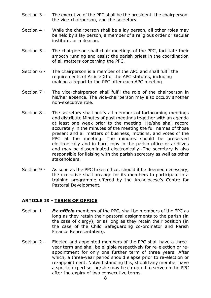- Section 3 The executive of the PPC shall be the president, the chairperson, the vice-chairperson, and the secretary.
- Section 4 While the chairperson shall be a lay person, all other roles may be held by a lay person, a member of a religious order or secular institute, or a deacon.
- Section 5 The chairperson shall chair meetings of the PPC, facilitate their smooth running and assist the parish priest in the coordination of all matters concerning the PPC.
- Section 6 The chairperson is a member of the APC and shall fulfil the requirements of Article XI of the APC statutes, including making a report to the PPC after each APC meeting.
- Section 7 The vice-chairperson shall fulfil the role of the chairperson in his/her absence. The vice-chairperson may also occupy another non-executive role.
- Section 8 The secretary shall notify all members of forthcoming meetings and distribute Minutes of past meetings together with an agenda at least one week prior to the meeting. He/she shall record accurately in the minutes of the meeting the full names of those present and all matters of business, motions, and votes of the PPC at the meeting. The minutes should be preserved electronically and in hard copy in the parish office or archives and may be disseminated electronically. The secretary is also responsible for liaising with the parish secretary as well as other stakeholders.
- Section 9 As soon as the PPC takes office, should it be deemed necessary, the executive shall arrange for its members to participate in a training programme offered by the Archdiocese's Centre for Pastoral Development.

## **ARTICLE IX - TERMS OF OFFICE**

- Section 1 *Ex-officio* members of the PPC, shall be members of the PPC as long as they retain their pastoral assignments to the parish (in the case of clergy), or as long as they retain their position (in the case of the Child Safeguarding co-ordinator and Parish Finance Representative).
- Section 2 Elected and appointed members of the PPC shall have a threeyear term and shall be eligible respectively for re-election or reappointment for only one further term of three years. After which, a three-year period should elapse prior to re-election or re-appointment. Notwithstanding this, should any member have a special expertise, he/she may be co-opted to serve on the PPC after the expiry of two consecutive terms.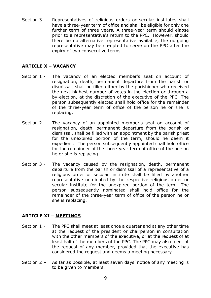Section 3 - Representatives of religious orders or secular institutes shall have a three-year term of office and shall be eligible for only one further term of three years. A three-year term should elapse prior to a representative's return to the PPC. However, should there be no alternative representative available, the outgoing representative may be co-opted to serve on the PPC after the expiry of two consecutive terms.

## **ARTICLE X – VACANCY**

- Section 1 The vacancy of an elected member's seat on account of resignation, death, permanent departure from the parish or dismissal, shall be filled either by the parishioner who received the next highest number of votes in the election or through a by-election, at the discretion of the executive of the PPC. The person subsequently elected shall hold office for the remainder of the three-year term of office of the person he or she is replacing.
- Section 2 The vacancy of an appointed member's seat on account of resignation, death, permanent departure from the parish or dismissal, shall be filled with an appointment by the parish priest for the unexpired portion of the term, should he deem it expedient. The person subsequently appointed shall hold office for the remainder of the three-year term of office of the person he or she is replacing.
- Section 3 The vacancy caused by the resignation, death, permanent departure from the parish or dismissal of a representative of a religious order or secular institute shall be filled by another representative nominated by the respective religious order or secular institute for the unexpired portion of the term. The person subsequently nominated shall hold office for the remainder of the three-year term of office of the person he or she is replacing.

## **ARTICLE XI – MEETINGS**

- Section 1 The PPC shall meet at least once a quarter and at any other time at the request of the president or chairperson in consultation with the other members of the executive, or at the request of at least half of the members of the PPC. The PPC may also meet at the request of any member, provided that the executive has considered the request and deems a meeting necessary.
- Section 2 As far as possible, at least seven days' notice of any meeting is to be given to members.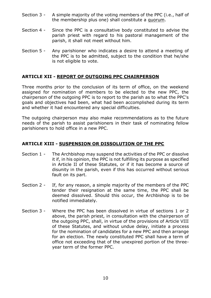- Section 3 A simple majority of the voting members of the PPC (i.e., half of the membership plus one) shall constitute a quorum.
- Section 4 Since the PPC is a consultative body constituted to advise the parish priest with regard to his pastoral management of the parish, it shall not meet without him.
- Section 5 Any parishioner who indicates a desire to attend a meeting of the PPC is to be admitted, subject to the condition that he/she is not eligible to vote.

# **ARTICLE XII - REPORT OF OUTGOING PPC CHAIRPERSON**

Three months prior to the conclusion of its term of office, on the weekend assigned for nomination of members to be elected to the new PPC, the chairperson of the outgoing PPC is to report to the parish as to what the PPC's goals and objectives had been, what had been accomplished during its term and whether it had encountered any special difficulties.

The outgoing chairperson may also make recommendations as to the future needs of the parish to assist parishioners in their task of nominating fellow parishioners to hold office in a new PPC.

## **ARTICLE XIII - SUSPENSION OR DISSOLUTION OF THE PPC**

- Section 1 The Archbishop may suspend the activities of the PPC or dissolve it if, in his opinion, the PPC is not fulfilling its purpose as specified in Article II of these Statutes, or if it has become a source of disunity in the parish, even if this has occurred without serious fault on its part.
- Section 2 If, for any reason, a simple majority of the members of the PPC tender their resignation at the same time, the PPC shall be deemed dissolved. Should this occur, the Archbishop is to be notified immediately.
- Section 3 Where the PPC has been dissolved in virtue of sections 1 or 2 above, the parish priest, in consultation with the chairperson of the outgoing PPC, shall, in virtue of the provisions of Article VIII of these Statutes, and without undue delay, initiate a process for the nomination of candidates for a new PPC and then arrange for an election. The newly constituted PPC shall have a term of office not exceeding that of the unexpired portion of the threeyear term of the former PPC.